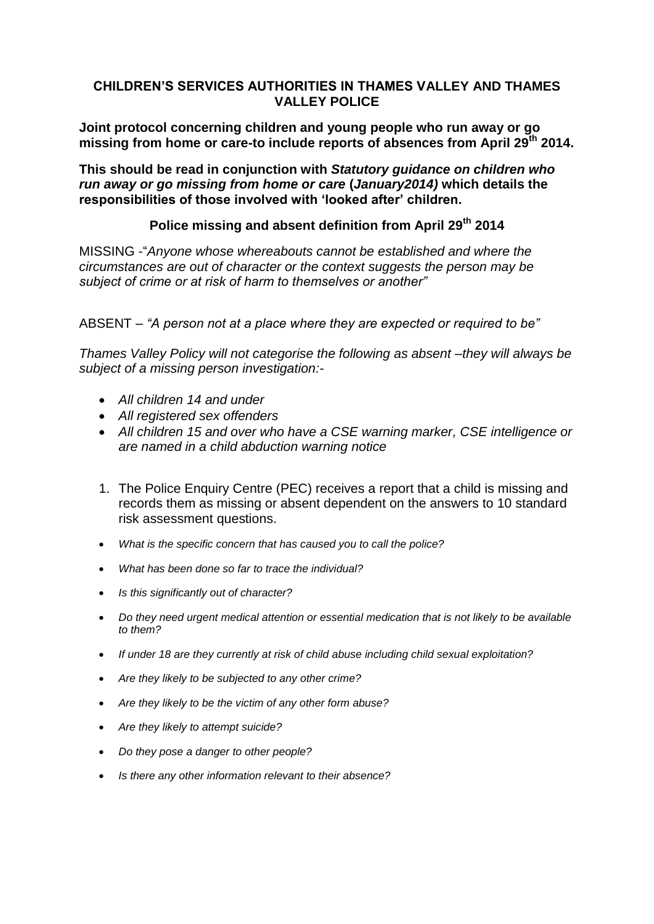## **CHILDREN'S SERVICES AUTHORITIES IN THAMES VALLEY AND THAMES VALLEY POLICE**

**Joint protocol concerning children and young people who run away or go missing from home or care-to include reports of absences from April 29th 2014.**

**This should be read in conjunction with** *Statutory guidance on children who run away or go missing from home or care* **(***January2014)* **which details the responsibilities of those involved with 'looked after' children.**

## **Police missing and absent definition from April 29th 2014**

MISSING -"*Anyone whose whereabouts cannot be established and where the circumstances are out of character or the context suggests the person may be subject of crime or at risk of harm to themselves or another"*

ABSENT – *"A person not at a place where they are expected or required to be"*

*Thames Valley Policy will not categorise the following as absent –they will always be subject of a missing person investigation:-*

- *All children 14 and under*
- *All registered sex offenders*
- *All children 15 and over who have a CSE warning marker, CSE intelligence or are named in a child abduction warning notice*
- 1. The Police Enquiry Centre (PEC) receives a report that a child is missing and records them as missing or absent dependent on the answers to 10 standard risk assessment questions.
- *What is the specific concern that has caused you to call the police?*
- *What has been done so far to trace the individual?*
- *Is this significantly out of character?*
- *Do they need urgent medical attention or essential medication that is not likely to be available to them?*
- *If under 18 are they currently at risk of child abuse including child sexual exploitation?*
- *Are they likely to be subjected to any other crime?*
- *Are they likely to be the victim of any other form abuse?*
- *Are they likely to attempt suicide?*
- *Do they pose a danger to other people?*
- *Is there any other information relevant to their absence?*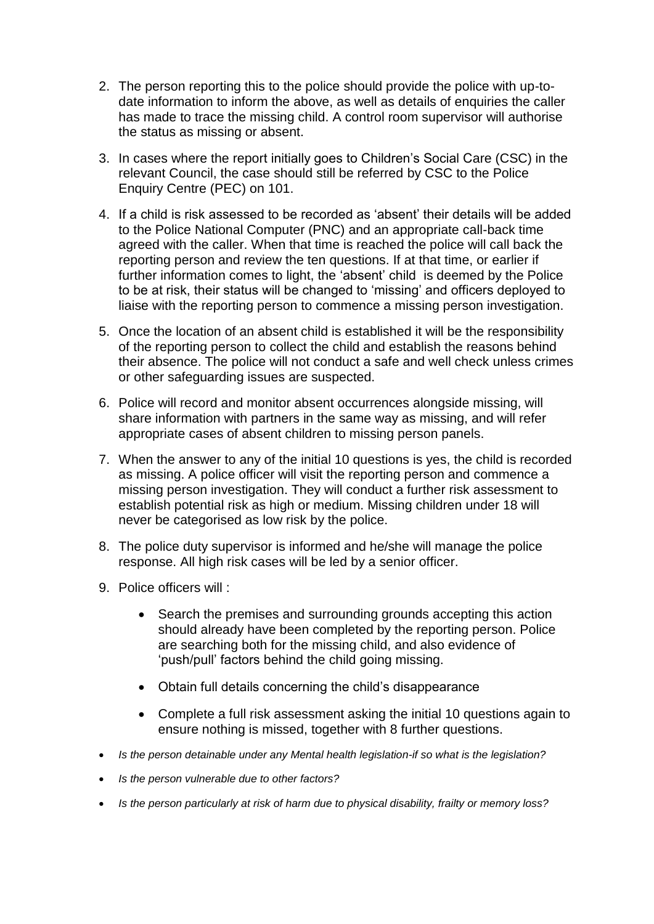- 2. The person reporting this to the police should provide the police with up-todate information to inform the above, as well as details of enquiries the caller has made to trace the missing child. A control room supervisor will authorise the status as missing or absent.
- 3. In cases where the report initially goes to Children's Social Care (CSC) in the relevant Council, the case should still be referred by CSC to the Police Enquiry Centre (PEC) on 101.
- 4. If a child is risk assessed to be recorded as 'absent' their details will be added to the Police National Computer (PNC) and an appropriate call-back time agreed with the caller. When that time is reached the police will call back the reporting person and review the ten questions. If at that time, or earlier if further information comes to light, the 'absent' child is deemed by the Police to be at risk, their status will be changed to 'missing' and officers deployed to liaise with the reporting person to commence a missing person investigation.
- 5. Once the location of an absent child is established it will be the responsibility of the reporting person to collect the child and establish the reasons behind their absence. The police will not conduct a safe and well check unless crimes or other safeguarding issues are suspected.
- 6. Police will record and monitor absent occurrences alongside missing, will share information with partners in the same way as missing, and will refer appropriate cases of absent children to missing person panels.
- 7. When the answer to any of the initial 10 questions is yes, the child is recorded as missing. A police officer will visit the reporting person and commence a missing person investigation. They will conduct a further risk assessment to establish potential risk as high or medium. Missing children under 18 will never be categorised as low risk by the police.
- 8. The police duty supervisor is informed and he/she will manage the police response. All high risk cases will be led by a senior officer.
- 9. Police officers will :
	- Search the premises and surrounding grounds accepting this action should already have been completed by the reporting person. Police are searching both for the missing child, and also evidence of 'push/pull' factors behind the child going missing.
	- Obtain full details concerning the child's disappearance
	- Complete a full risk assessment asking the initial 10 questions again to ensure nothing is missed, together with 8 further questions.
- *Is the person detainable under any Mental health legislation-if so what is the legislation?*
- *Is the person vulnerable due to other factors?*
- *Is the person particularly at risk of harm due to physical disability, frailty or memory loss?*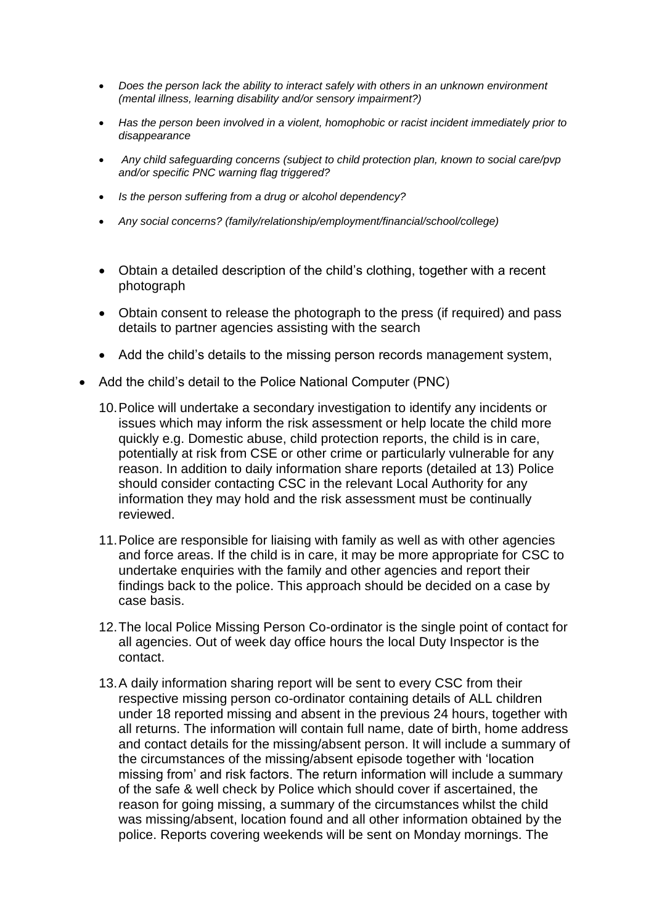- *Does the person lack the ability to interact safely with others in an unknown environment (mental illness, learning disability and/or sensory impairment?)*
- *Has the person been involved in a violent, homophobic or racist incident immediately prior to disappearance*
- *Any child safeguarding concerns (subject to child protection plan, known to social care/pvp and/or specific PNC warning flag triggered?*
- *Is the person suffering from a drug or alcohol dependency?*
- *Any social concerns? (family/relationship/employment/financial/school/college)*
- Obtain a detailed description of the child's clothing, together with a recent photograph
- Obtain consent to release the photograph to the press (if required) and pass details to partner agencies assisting with the search
- Add the child's details to the missing person records management system,
- Add the child's detail to the Police National Computer (PNC)
	- 10.Police will undertake a secondary investigation to identify any incidents or issues which may inform the risk assessment or help locate the child more quickly e.g. Domestic abuse, child protection reports, the child is in care, potentially at risk from CSE or other crime or particularly vulnerable for any reason. In addition to daily information share reports (detailed at 13) Police should consider contacting CSC in the relevant Local Authority for any information they may hold and the risk assessment must be continually reviewed.
	- 11.Police are responsible for liaising with family as well as with other agencies and force areas. If the child is in care, it may be more appropriate for CSC to undertake enquiries with the family and other agencies and report their findings back to the police. This approach should be decided on a case by case basis.
	- 12.The local Police Missing Person Co-ordinator is the single point of contact for all agencies. Out of week day office hours the local Duty Inspector is the contact.
	- 13.A daily information sharing report will be sent to every CSC from their respective missing person co-ordinator containing details of ALL children under 18 reported missing and absent in the previous 24 hours, together with all returns. The information will contain full name, date of birth, home address and contact details for the missing/absent person. It will include a summary of the circumstances of the missing/absent episode together with 'location missing from' and risk factors. The return information will include a summary of the safe & well check by Police which should cover if ascertained, the reason for going missing, a summary of the circumstances whilst the child was missing/absent, location found and all other information obtained by the police. Reports covering weekends will be sent on Monday mornings. The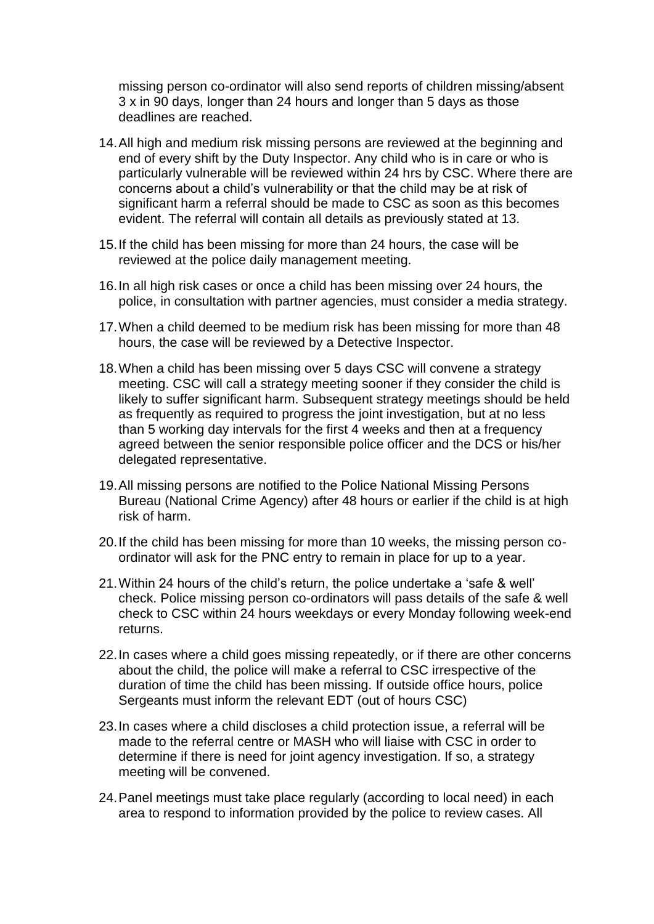missing person co-ordinator will also send reports of children missing/absent 3 x in 90 days, longer than 24 hours and longer than 5 days as those deadlines are reached.

- 14.All high and medium risk missing persons are reviewed at the beginning and end of every shift by the Duty Inspector. Any child who is in care or who is particularly vulnerable will be reviewed within 24 hrs by CSC. Where there are concerns about a child's vulnerability or that the child may be at risk of significant harm a referral should be made to CSC as soon as this becomes evident. The referral will contain all details as previously stated at 13.
- 15.If the child has been missing for more than 24 hours, the case will be reviewed at the police daily management meeting.
- 16.In all high risk cases or once a child has been missing over 24 hours, the police, in consultation with partner agencies, must consider a media strategy.
- 17.When a child deemed to be medium risk has been missing for more than 48 hours, the case will be reviewed by a Detective Inspector.
- 18.When a child has been missing over 5 days CSC will convene a strategy meeting. CSC will call a strategy meeting sooner if they consider the child is likely to suffer significant harm. Subsequent strategy meetings should be held as frequently as required to progress the joint investigation, but at no less than 5 working day intervals for the first 4 weeks and then at a frequency agreed between the senior responsible police officer and the DCS or his/her delegated representative.
- 19.All missing persons are notified to the Police National Missing Persons Bureau (National Crime Agency) after 48 hours or earlier if the child is at high risk of harm.
- 20.If the child has been missing for more than 10 weeks, the missing person coordinator will ask for the PNC entry to remain in place for up to a year.
- 21.Within 24 hours of the child's return, the police undertake a 'safe & well' check. Police missing person co-ordinators will pass details of the safe & well check to CSC within 24 hours weekdays or every Monday following week-end returns.
- 22.In cases where a child goes missing repeatedly, or if there are other concerns about the child, the police will make a referral to CSC irrespective of the duration of time the child has been missing. If outside office hours, police Sergeants must inform the relevant EDT (out of hours CSC)
- 23.In cases where a child discloses a child protection issue, a referral will be made to the referral centre or MASH who will liaise with CSC in order to determine if there is need for joint agency investigation. If so, a strategy meeting will be convened.
- 24.Panel meetings must take place regularly (according to local need) in each area to respond to information provided by the police to review cases. All